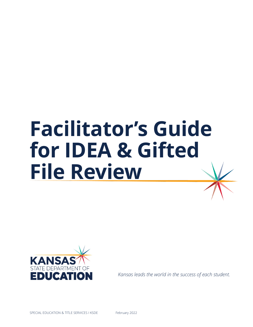## **Facilitator's Guide for IDEA & Gifted File Review**



*Kansas leads the world in the success of each student.*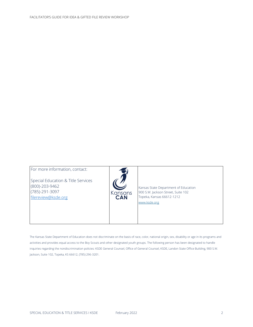| Special Education & Title Services<br>(800)-203-9462<br>Kansas State Department of Education<br>(785)-291-3097<br>900 S.W. Jackson Street, Suite 102<br>Kansans<br><b>CAN</b><br>Topeka, Kansas 66612-1212<br>filereview@ksde.org<br>www.ksde.org | For more information, contact: |  |  |
|---------------------------------------------------------------------------------------------------------------------------------------------------------------------------------------------------------------------------------------------------|--------------------------------|--|--|
|---------------------------------------------------------------------------------------------------------------------------------------------------------------------------------------------------------------------------------------------------|--------------------------------|--|--|

The Kansas State Department of Education does not discriminate on the basis of race, color, national origin, sex, disability or age in its programs and activities and provides equal access to the Boy Scouts and other designated youth groups. The following person has been designated to handle inquiries regarding the nondiscrimination policies: KSDE General Counsel, Office of General Counsel, KSDE, Landon State Office Building, 900 S.W. Jackson, Suite 102, Topeka, KS 66612, (785) 296-3201.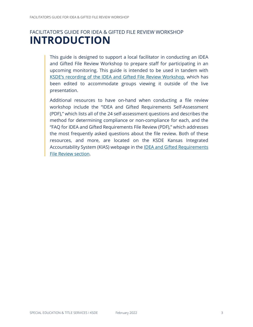## FACILITATOR'S GUIDE FOR IDEA & GIFTED FILE REVIEW WORKSHOP **INTRODUCTION**

This guide is designed to support a local facilitator in conducting an IDEA and Gifted File Review Workshop to prepare staff for participating in an upcoming monitoring. This guide is intended to be used in tandem with [KSDE's recording of the IDEA and Gifted File Review Workshop,](https://vimeo.com/546020979/e574eb34a2) which has been edited to accommodate groups viewing it outside of the live presentation.

Additional resources to have on-hand when conducting a file review workshop include the "IDEA and Gifted Requirements Self-Assessment (PDF)," which lists all of the 24 self-assessment questions and describes the method for determining compliance or non-compliance for each, and the "FAQ for IDEA and Gifted Requirements File Review (PDF)," which addresses the most frequently asked questions about the file review. Both of these resources, and more, are located on the KSDE Kansas Integrated Accountability System (KIAS) webpage in the [IDEA and Gifted Requirements](https://www.ksde.org/Agency/Division-of-Learning-Services/Special-Education-and-Title-Services/KIAS-Kansas-Integrated-Accountability-System#IDEAreview)  [File Review section.](https://www.ksde.org/Agency/Division-of-Learning-Services/Special-Education-and-Title-Services/KIAS-Kansas-Integrated-Accountability-System#IDEAreview)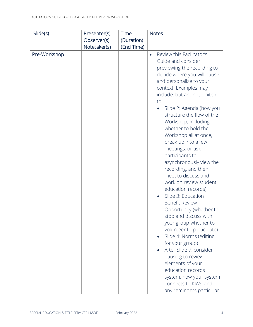| Slide(s)     | Presenter(s) | Time       | <b>Notes</b>                                                                                                                                                                                                                                                                                                                                                                                                                                                                                                                                                                                                                                                                                                                                                                                                                                                                                                                              |
|--------------|--------------|------------|-------------------------------------------------------------------------------------------------------------------------------------------------------------------------------------------------------------------------------------------------------------------------------------------------------------------------------------------------------------------------------------------------------------------------------------------------------------------------------------------------------------------------------------------------------------------------------------------------------------------------------------------------------------------------------------------------------------------------------------------------------------------------------------------------------------------------------------------------------------------------------------------------------------------------------------------|
|              | Observer(s)  | (Duration) |                                                                                                                                                                                                                                                                                                                                                                                                                                                                                                                                                                                                                                                                                                                                                                                                                                                                                                                                           |
|              | Notetaker(s) | (End Time) |                                                                                                                                                                                                                                                                                                                                                                                                                                                                                                                                                                                                                                                                                                                                                                                                                                                                                                                                           |
| Pre-Workshop |              |            | Review this Facilitator's<br>$\bullet$<br>Guide and consider<br>previewing the recording to<br>decide where you will pause<br>and personalize to your<br>context. Examples may<br>include, but are not limited<br>to:<br>Slide 2: Agenda (how you<br>$\bullet$<br>structure the flow of the<br>Workshop, including<br>whether to hold the<br>Workshop all at once,<br>break up into a few<br>meetings, or ask<br>participants to<br>asynchronously view the<br>recording, and then<br>meet to discuss and<br>work on review student<br>education records)<br>Slide 3: Education<br><b>Benefit Review</b><br>Opportunity (whether to<br>stop and discuss with<br>your group whether to<br>volunteer to participate)<br>Slide 4: Norms (editing<br>for your group)<br>After Slide 7, consider<br>pausing to review<br>elements of your<br>education records<br>system, how your system<br>connects to KIAS, and<br>any reminders particular |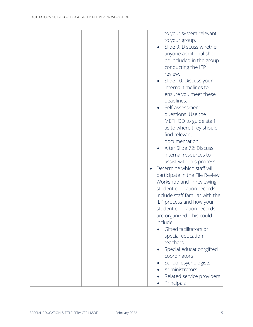|  | to your system relevant<br>to your group.<br>Slide 9: Discuss whether<br>anyone additional should<br>be included in the group<br>conducting the IEP<br>review.<br>Slide 10: Discuss your<br>$\bullet$<br>internal timelines to<br>ensure you meet these<br>deadlines.<br>Self-assessment<br>questions: Use the<br>METHOD to guide staff<br>as to where they should<br>find relevant<br>documentation.<br>After Slide 72: Discuss<br>internal resources to<br>assist with this process.<br>Determine which staff will<br>participate in the File Review<br>Workshop and in reviewing<br>student education records.<br>Include staff familiar with the<br>IEP process and how your<br>student education records<br>are organized. This could<br>include:<br>Gifted facilitators or |
|--|----------------------------------------------------------------------------------------------------------------------------------------------------------------------------------------------------------------------------------------------------------------------------------------------------------------------------------------------------------------------------------------------------------------------------------------------------------------------------------------------------------------------------------------------------------------------------------------------------------------------------------------------------------------------------------------------------------------------------------------------------------------------------------|
|  |                                                                                                                                                                                                                                                                                                                                                                                                                                                                                                                                                                                                                                                                                                                                                                                  |
|  | special education<br>teachers<br>Special education/gifted<br>coordinators<br>School psychologists<br>Administrators                                                                                                                                                                                                                                                                                                                                                                                                                                                                                                                                                                                                                                                              |
|  | Related service providers<br>Principals                                                                                                                                                                                                                                                                                                                                                                                                                                                                                                                                                                                                                                                                                                                                          |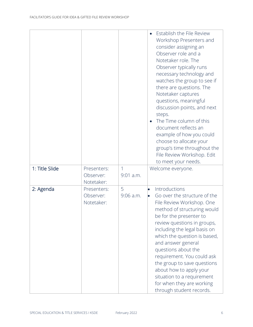|                |                                        |                  | Establish the File Review<br>Workshop Presenters and<br>consider assigning an<br>Observer role and a<br>Notetaker role. The<br>Observer typically runs<br>necessary technology and<br>watches the group to see if<br>there are questions. The<br>Notetaker captures<br>questions, meaningful<br>discussion points, and next<br>steps.<br>The Time column of this<br>document reflects an<br>example of how you could<br>choose to allocate your<br>group's time throughout the<br>File Review Workshop. Edit<br>to meet your needs. |
|----------------|----------------------------------------|------------------|-------------------------------------------------------------------------------------------------------------------------------------------------------------------------------------------------------------------------------------------------------------------------------------------------------------------------------------------------------------------------------------------------------------------------------------------------------------------------------------------------------------------------------------|
| 1: Title Slide | Presenters:<br>Observer:<br>Notetaker: | 1<br>$9:01$ a.m. | Welcome everyone.                                                                                                                                                                                                                                                                                                                                                                                                                                                                                                                   |
| 2: Agenda      | Presenters:<br>Observer:<br>Notetaker: | 5<br>$9:06$ a.m. | Introductions<br>$\bullet$<br>Go over the structure of the<br>$\bullet$<br>File Review Workshop. One<br>method of structuring would<br>be for the presenter to<br>review questions in groups,<br>including the legal basis on<br>which the question is based,<br>and answer general<br>questions about the<br>requirement. You could ask<br>the group to save questions<br>about how to apply your<br>situation to a requirement<br>for when they are working<br>through student records.                                           |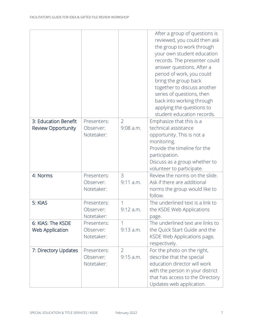|                           |             |                | After a group of questions is<br>reviewed, you could then ask<br>the group to work through<br>your own student education<br>records. The presenter could<br>answer questions. After a<br>period of work, you could<br>bring the group back<br>together to discuss another<br>series of questions, then<br>back into working through<br>applying the questions to<br>student education records. |
|---------------------------|-------------|----------------|------------------------------------------------------------------------------------------------------------------------------------------------------------------------------------------------------------------------------------------------------------------------------------------------------------------------------------------------------------------------------------------------|
| 3: Education Benefit      | Presenters: | $\overline{2}$ | Emphasize that this is a                                                                                                                                                                                                                                                                                                                                                                       |
| <b>Review Opportunity</b> | Observer:   | $9:08$ a.m.    | technical assistance                                                                                                                                                                                                                                                                                                                                                                           |
|                           | Notetaker:  |                | opportunity. This is not a                                                                                                                                                                                                                                                                                                                                                                     |
|                           |             |                | monitoring.<br>Provide the timeline for the                                                                                                                                                                                                                                                                                                                                                    |
|                           |             |                | participation.                                                                                                                                                                                                                                                                                                                                                                                 |
|                           |             |                | Discuss as a group whether to                                                                                                                                                                                                                                                                                                                                                                  |
|                           |             |                | volunteer to participate.                                                                                                                                                                                                                                                                                                                                                                      |
| 4: Norms                  | Presenters: | 3              | Review the norms on the slide.                                                                                                                                                                                                                                                                                                                                                                 |
|                           | Observer:   | $9:11$ a.m.    | Ask if there are additional                                                                                                                                                                                                                                                                                                                                                                    |
|                           | Notetaker:  |                | norms the group would like to<br>follow.                                                                                                                                                                                                                                                                                                                                                       |
| 5: KIAS                   | Presenters: | 1              | The underlined text is a link to                                                                                                                                                                                                                                                                                                                                                               |
|                           | Observer:   | 9:12 a.m.      | the KSDE Web Applications                                                                                                                                                                                                                                                                                                                                                                      |
|                           | Notetaker:  |                | page.                                                                                                                                                                                                                                                                                                                                                                                          |
| 6: KIAS: The KSDE         | Presenters: |                | The underlined text are links to                                                                                                                                                                                                                                                                                                                                                               |
| <b>Web Application</b>    | Observer:   | $9:13$ a.m.    | the Quick Start Guide and the                                                                                                                                                                                                                                                                                                                                                                  |
|                           | Notetaker:  |                | KSDE Web Applications page,<br>respectively.                                                                                                                                                                                                                                                                                                                                                   |
| 7: Directory Updates      | Presenters: | $\overline{2}$ | For the photo on the right,                                                                                                                                                                                                                                                                                                                                                                    |
|                           | Observer:   | $9:15$ a.m.    | describe that the special                                                                                                                                                                                                                                                                                                                                                                      |
|                           | Notetaker:  |                | education director will work                                                                                                                                                                                                                                                                                                                                                                   |
|                           |             |                | with the person in your district                                                                                                                                                                                                                                                                                                                                                               |
|                           |             |                | that has access to the Directory                                                                                                                                                                                                                                                                                                                                                               |
|                           |             |                | Updates web application.                                                                                                                                                                                                                                                                                                                                                                       |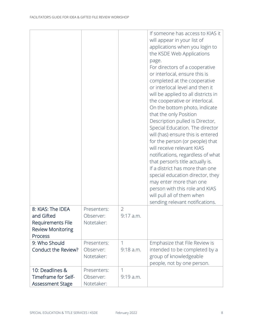| 8: KIAS: The IDEA<br>and Gifted<br>Requirements File<br><b>Review Monitoring</b><br><b>Process</b> | Presenters:<br>Observer:<br>Notetaker: | $\overline{2}$<br>9:17 a.m. | If someone has access to KIAS it<br>will appear in your list of<br>applications when you login to<br>the KSDE Web Applications<br>page.<br>For directors of a cooperative<br>or interlocal, ensure this is<br>completed at the cooperative<br>or interlocal level and then it<br>will be applied to all districts in<br>the cooperative or interlocal.<br>On the bottom photo, indicate<br>that the only Position<br>Description pulled is Director,<br>Special Education. The director<br>will (has) ensure this is entered<br>for the person (or people) that<br>will receive relevant KIAS<br>notifications, regardless of what<br>that person's title actually is.<br>If a district has more than one<br>special education director, they<br>may enter more than one<br>person with this role and KIAS<br>will pull all of them when<br>sending relevant notifications. |
|----------------------------------------------------------------------------------------------------|----------------------------------------|-----------------------------|-----------------------------------------------------------------------------------------------------------------------------------------------------------------------------------------------------------------------------------------------------------------------------------------------------------------------------------------------------------------------------------------------------------------------------------------------------------------------------------------------------------------------------------------------------------------------------------------------------------------------------------------------------------------------------------------------------------------------------------------------------------------------------------------------------------------------------------------------------------------------------|
| 9: Who Should                                                                                      | Presenters:                            | 1                           | Emphasize that File Review is                                                                                                                                                                                                                                                                                                                                                                                                                                                                                                                                                                                                                                                                                                                                                                                                                                               |
| Conduct the Review?                                                                                | Observer:<br>Notetaker:                | $9:18$ a.m.                 | intended to be completed by a<br>group of knowledgeable<br>people, not by one person.                                                                                                                                                                                                                                                                                                                                                                                                                                                                                                                                                                                                                                                                                                                                                                                       |
| 10: Deadlines &<br>Timeframe for Self-<br>Assessment Stage                                         | Presenters:<br>Observer:<br>Notetaker: | $\mathbf{1}$<br>$9:19$ a.m. |                                                                                                                                                                                                                                                                                                                                                                                                                                                                                                                                                                                                                                                                                                                                                                                                                                                                             |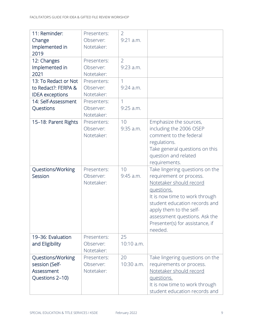| 11: Reminder:          | Presenters: | $\overline{2}$ |                                                            |
|------------------------|-------------|----------------|------------------------------------------------------------|
| Change                 | Observer:   | $9:21$ a.m.    |                                                            |
| Implemented in         | Notetaker:  |                |                                                            |
| 2019                   |             |                |                                                            |
| 12: Changes            | Presenters: | $\overline{2}$ |                                                            |
| Implemented in         | Observer:   | $9:23$ a.m.    |                                                            |
| 2021                   | Notetaker:  |                |                                                            |
| 13: To Redact or Not   | Presenters: | $\mathbf{1}$   |                                                            |
| to Redact?: FERPA &    | Observer:   | $9:24$ a.m.    |                                                            |
| <b>IDEA</b> exceptions | Notetaker:  |                |                                                            |
| 14: Self-Assessment    | Presenters: | 1              |                                                            |
| Questions              | Observer:   | $9:25$ a.m.    |                                                            |
|                        | Notetaker:  |                |                                                            |
| 15-18: Parent Rights   | Presenters: | 10             | Emphasize the sources,                                     |
|                        | Observer:   | $9:35$ a.m.    | including the 2006 OSEP                                    |
|                        | Notetaker:  |                | comment to the federal                                     |
|                        |             |                | regulations.                                               |
|                        |             |                | Take general questions on this                             |
|                        |             |                | question and related                                       |
|                        |             |                | requirements.                                              |
|                        |             |                |                                                            |
| Questions/Working      | Presenters: | 10             |                                                            |
| Session                | Observer:   | 9:45 a.m.      | Take lingering questions on the<br>requirement or process. |
|                        | Notetaker:  |                | Notetaker should record                                    |
|                        |             |                | questions.                                                 |
|                        |             |                | It is now time to work through                             |
|                        |             |                | student education records and                              |
|                        |             |                | apply them to the self-                                    |
|                        |             |                | assessment questions. Ask the                              |
|                        |             |                | Presenter(s) for assistance, if                            |
|                        |             |                | needed.                                                    |
| 19-36: Evaluation      | Presenters: | 25             |                                                            |
| and Eligibility        | Observer:   | $10:10$ a.m.   |                                                            |
|                        | Notetaker:  |                |                                                            |
| Questions/Working      | Presenters: | 20             | Take lingering questions on the                            |
| session (Self-         | Observer:   | 10:30 a.m.     | requirements or process.                                   |
| Assessment             | Notetaker:  |                | Notetaker should record                                    |
| Questions 2-10)        |             |                | questions.                                                 |
|                        |             |                | It is now time to work through                             |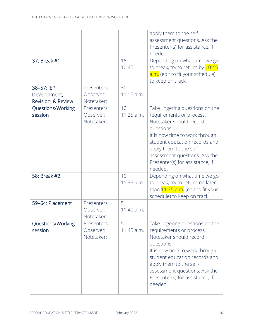| 37. Break #1                                     |                                        | 15<br>10:45        | apply them to the self-<br>assessment questions. Ask the<br>Presenter(s) for assistance, if<br>needed.<br>Depending on what time we go<br>to break, try to return by 10:45<br>a.m. (edit to fit your schedule)                                                                    |
|--------------------------------------------------|----------------------------------------|--------------------|-----------------------------------------------------------------------------------------------------------------------------------------------------------------------------------------------------------------------------------------------------------------------------------|
| 38-57: IEP<br>Development,<br>Revision, & Review | Presenters:<br>Observer:<br>Notetaker: | 30<br>$11:15$ a.m. | to keep on track.                                                                                                                                                                                                                                                                 |
| Questions/Working<br>session                     | Presenters:<br>Observer:<br>Notetaker: | 10<br>$11:25$ a.m. | Take lingering questions on the<br>requirements or process.<br>Notetaker should record<br>questions.<br>It is now time to work through<br>student education records and<br>apply them to the self-<br>assessment questions. Ask the<br>Presenter(s) for assistance, if<br>needed. |
| 58: Break #2                                     |                                        | 10<br>11:35 a.m.   | Depending on what time we go<br>to break, try to return no later<br>than 11:35 a.m. (edit to fit your<br>schedule) to keep on track.                                                                                                                                              |
| 59-64: Placement                                 | Presenters:<br>Observer:<br>Notetaker: | 5<br>11:40 a.m.    |                                                                                                                                                                                                                                                                                   |
| Questions/Working<br>session                     | Presenters:<br>Observer:<br>Notetaker: | 5<br>$11:45$ a.m.  | Take lingering questions on the<br>requirements or process.<br>Notetaker should record<br>questions.<br>It is now time to work through<br>student education records and<br>apply them to the self-<br>assessment questions. Ask the<br>Presenter(s) for assistance, if<br>needed. |